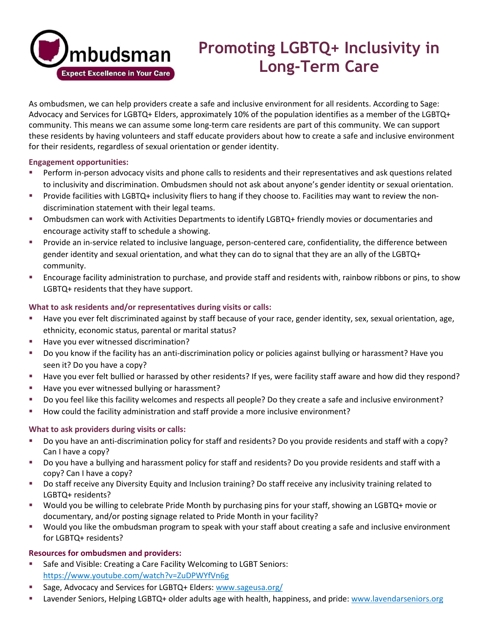

# **Promoting LGBTQ+ Inclusivity in Long-Term Care**

As ombudsmen, we can help providers create a safe and inclusive environment for all residents. According to Sage: Advocacy and Services for LGBTQ+ Elders, approximately 10% of the population identifies as a member of the LGBTQ+ community. This means we can assume some long-term care residents are part of this community. We can support these residents by having volunteers and staff educate providers about how to create a safe and inclusive environment for their residents, regardless of sexual orientation or gender identity.

### **Engagement opportunities:**

- **•** Perform in-person advocacy visits and phone calls to residents and their representatives and ask questions related to inclusivity and discrimination. Ombudsmen should not ask about anyone's gender identity or sexual orientation.
- Provide facilities with LGBTQ+ inclusivity fliers to hang if they choose to. Facilities may want to review the nondiscrimination statement with their legal teams.
- Ombudsmen can work with Activities Departments to identify LGBTQ+ friendly movies or documentaries and encourage activity staff to schedule a showing.
- Provide an in-service related to inclusive language, person-centered care, confidentiality, the difference between gender identity and sexual orientation, and what they can do to signal that they are an ally of the LGBTQ+ community.
- Encourage facility administration to purchase, and provide staff and residents with, rainbow ribbons or pins, to show LGBTQ+ residents that they have support.

## **What to ask residents and/or representatives during visits or calls:**

- Have you ever felt discriminated against by staff because of your race, gender identity, sex, sexual orientation, age, ethnicity, economic status, parental or marital status?
- Have you ever witnessed discrimination?
- Do you know if the facility has an anti-discrimination policy or policies against bullying or harassment? Have you seen it? Do you have a copy?
- Have you ever felt bullied or harassed by other residents? If yes, were facility staff aware and how did they respond?
- Have you ever witnessed bullying or harassment?
- Do you feel like this facility welcomes and respects all people? Do they create a safe and inclusive environment?
- How could the facility administration and staff provide a more inclusive environment?

## **What to ask providers during visits or calls:**

- Do you have an anti-discrimination policy for staff and residents? Do you provide residents and staff with a copy? Can I have a copy?
- Do you have a bullying and harassment policy for staff and residents? Do you provide residents and staff with a copy? Can I have a copy?
- Do staff receive any Diversity Equity and Inclusion training? Do staff receive any inclusivity training related to LGBTQ+ residents?
- Would you be willing to celebrate Pride Month by purchasing pins for your staff, showing an LGBTQ+ movie or documentary, and/or posting signage related to Pride Month in your facility?
- Would you like the ombudsman program to speak with your staff about creating a safe and inclusive environment for LGBTQ+ residents?

## **Resources for ombudsmen and providers:**

- Safe and Visible: Creating a Care Facility Welcoming to LGBT Seniors: <https://www.youtube.com/watch?v=ZuDPWYfVn6g>
- Sage, Advocacy and Services for LGBTQ+ Elders: [www.sageusa.org/](http://www.sageusa.org/)
- Lavender Seniors, Helping LGBTQ+ older adults age with health, happiness, and pride: [www.lavendarseniors.org](http://www.lavendarseniors.org/)